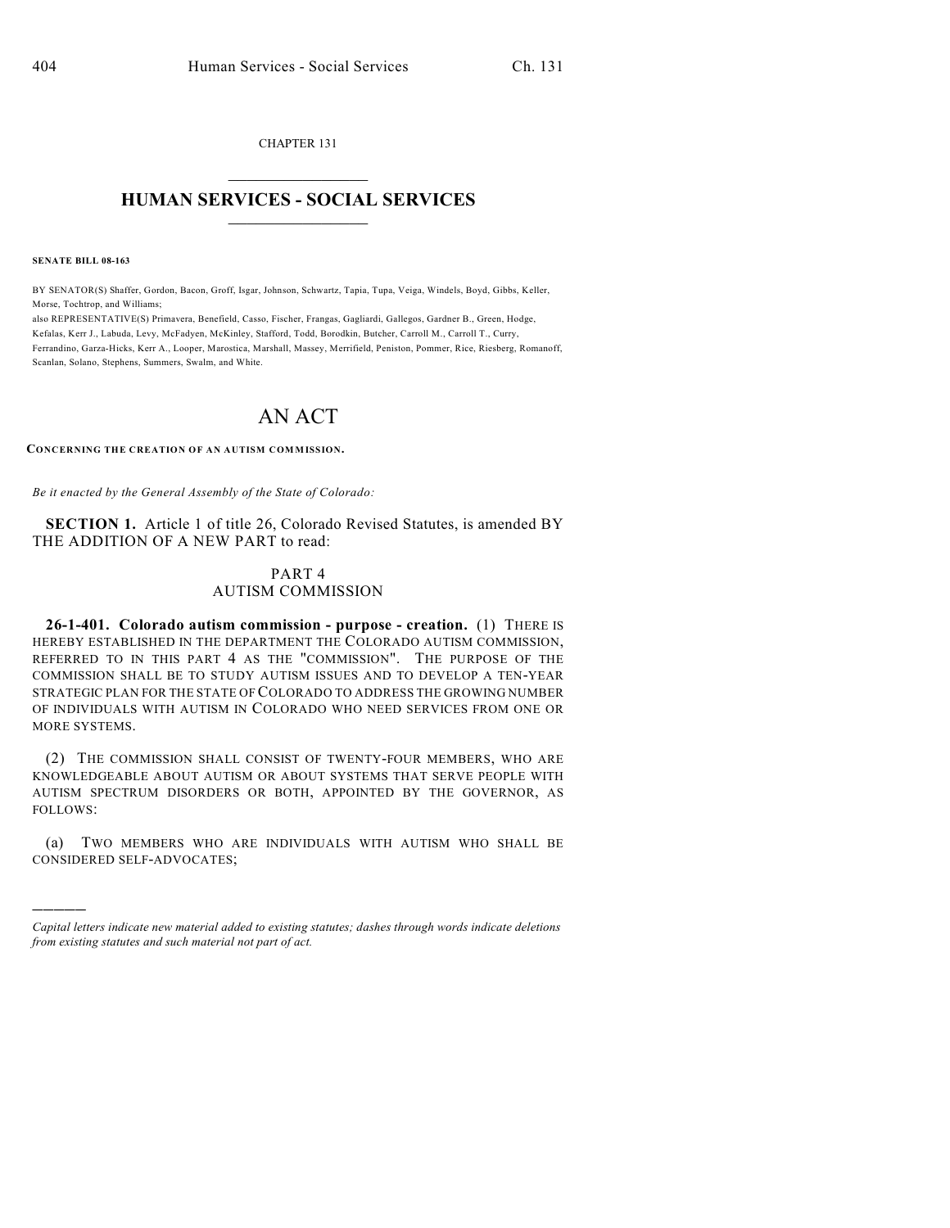CHAPTER 131  $\overline{\phantom{a}}$  . The set of the set of the set of the set of the set of the set of the set of the set of the set of the set of the set of the set of the set of the set of the set of the set of the set of the set of the set o

## **HUMAN SERVICES - SOCIAL SERVICES**  $\frac{1}{2}$  ,  $\frac{1}{2}$  ,  $\frac{1}{2}$  ,  $\frac{1}{2}$  ,  $\frac{1}{2}$  ,  $\frac{1}{2}$  ,  $\frac{1}{2}$

**SENATE BILL 08-163**

)))))

BY SENATOR(S) Shaffer, Gordon, Bacon, Groff, Isgar, Johnson, Schwartz, Tapia, Tupa, Veiga, Windels, Boyd, Gibbs, Keller, Morse, Tochtrop, and Williams;

also REPRESENTATIVE(S) Primavera, Benefield, Casso, Fischer, Frangas, Gagliardi, Gallegos, Gardner B., Green, Hodge, Kefalas, Kerr J., Labuda, Levy, McFadyen, McKinley, Stafford, Todd, Borodkin, Butcher, Carroll M., Carroll T., Curry, Ferrandino, Garza-Hicks, Kerr A., Looper, Marostica, Marshall, Massey, Merrifield, Peniston, Pommer, Rice, Riesberg, Romanoff, Scanlan, Solano, Stephens, Summers, Swalm, and White.

## AN ACT

**CONCERNING THE CREATION OF AN AUTISM COMMISSION.**

*Be it enacted by the General Assembly of the State of Colorado:*

**SECTION 1.** Article 1 of title 26, Colorado Revised Statutes, is amended BY THE ADDITION OF A NEW PART to read:

## PART 4 AUTISM COMMISSION

**26-1-401. Colorado autism commission - purpose - creation.** (1) THERE IS HEREBY ESTABLISHED IN THE DEPARTMENT THE COLORADO AUTISM COMMISSION, REFERRED TO IN THIS PART 4 AS THE "COMMISSION". THE PURPOSE OF THE COMMISSION SHALL BE TO STUDY AUTISM ISSUES AND TO DEVELOP A TEN-YEAR STRATEGIC PLAN FOR THE STATE OF COLORADO TO ADDRESS THE GROWING NUMBER OF INDIVIDUALS WITH AUTISM IN COLORADO WHO NEED SERVICES FROM ONE OR MORE SYSTEMS.

(2) THE COMMISSION SHALL CONSIST OF TWENTY-FOUR MEMBERS, WHO ARE KNOWLEDGEABLE ABOUT AUTISM OR ABOUT SYSTEMS THAT SERVE PEOPLE WITH AUTISM SPECTRUM DISORDERS OR BOTH, APPOINTED BY THE GOVERNOR, AS FOLLOWS:

(a) TWO MEMBERS WHO ARE INDIVIDUALS WITH AUTISM WHO SHALL BE CONSIDERED SELF-ADVOCATES;

*Capital letters indicate new material added to existing statutes; dashes through words indicate deletions from existing statutes and such material not part of act.*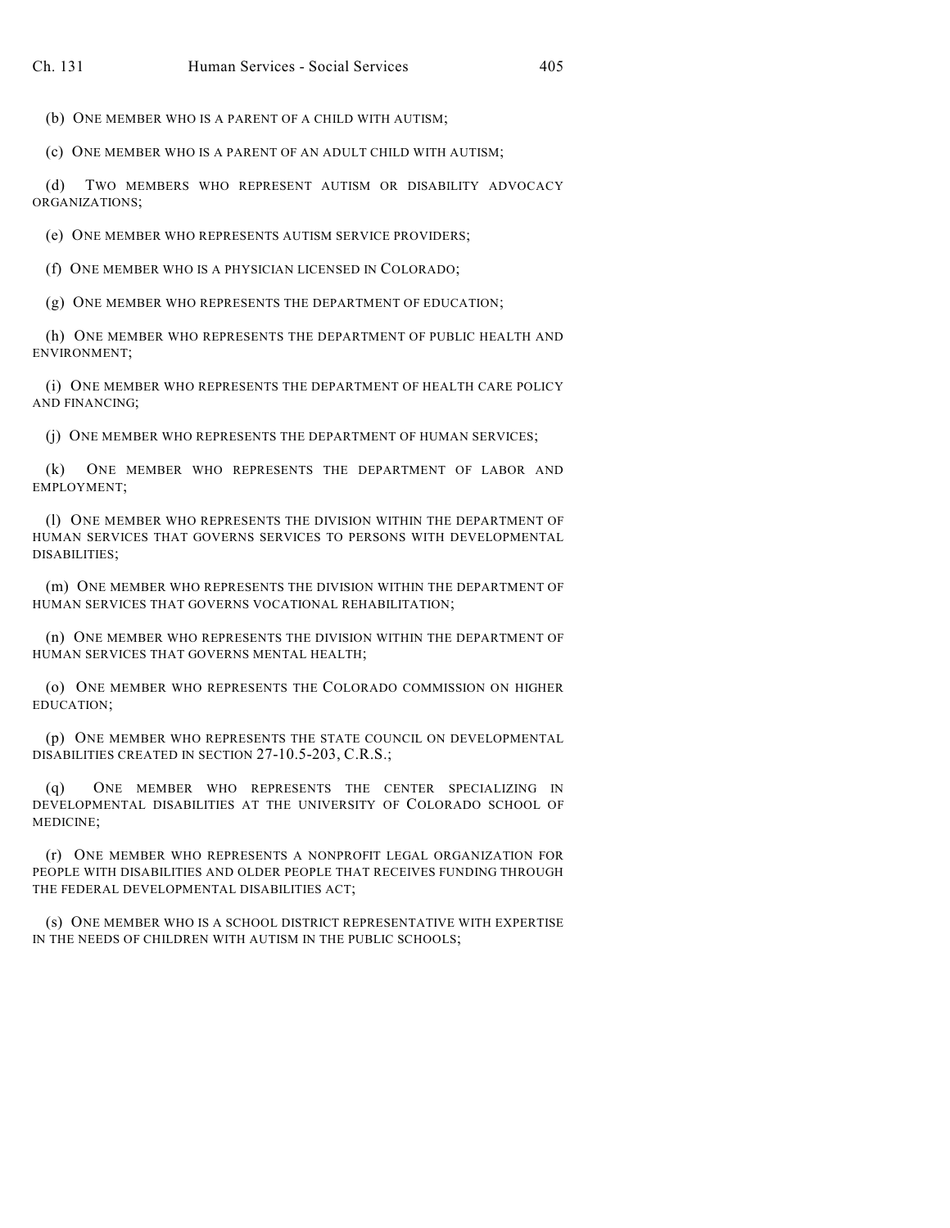(b) ONE MEMBER WHO IS A PARENT OF A CHILD WITH AUTISM;

(c) ONE MEMBER WHO IS A PARENT OF AN ADULT CHILD WITH AUTISM;

(d) TWO MEMBERS WHO REPRESENT AUTISM OR DISABILITY ADVOCACY ORGANIZATIONS;

(e) ONE MEMBER WHO REPRESENTS AUTISM SERVICE PROVIDERS;

(f) ONE MEMBER WHO IS A PHYSICIAN LICENSED IN COLORADO;

(g) ONE MEMBER WHO REPRESENTS THE DEPARTMENT OF EDUCATION;

(h) ONE MEMBER WHO REPRESENTS THE DEPARTMENT OF PUBLIC HEALTH AND ENVIRONMENT;

(i) ONE MEMBER WHO REPRESENTS THE DEPARTMENT OF HEALTH CARE POLICY AND FINANCING;

(j) ONE MEMBER WHO REPRESENTS THE DEPARTMENT OF HUMAN SERVICES;

(k) ONE MEMBER WHO REPRESENTS THE DEPARTMENT OF LABOR AND EMPLOYMENT;

(l) ONE MEMBER WHO REPRESENTS THE DIVISION WITHIN THE DEPARTMENT OF HUMAN SERVICES THAT GOVERNS SERVICES TO PERSONS WITH DEVELOPMENTAL DISABILITIES;

(m) ONE MEMBER WHO REPRESENTS THE DIVISION WITHIN THE DEPARTMENT OF HUMAN SERVICES THAT GOVERNS VOCATIONAL REHABILITATION;

(n) ONE MEMBER WHO REPRESENTS THE DIVISION WITHIN THE DEPARTMENT OF HUMAN SERVICES THAT GOVERNS MENTAL HEALTH;

(o) ONE MEMBER WHO REPRESENTS THE COLORADO COMMISSION ON HIGHER EDUCATION;

(p) ONE MEMBER WHO REPRESENTS THE STATE COUNCIL ON DEVELOPMENTAL DISABILITIES CREATED IN SECTION 27-10.5-203, C.R.S.;

(q) ONE MEMBER WHO REPRESENTS THE CENTER SPECIALIZING IN DEVELOPMENTAL DISABILITIES AT THE UNIVERSITY OF COLORADO SCHOOL OF MEDICINE;

(r) ONE MEMBER WHO REPRESENTS A NONPROFIT LEGAL ORGANIZATION FOR PEOPLE WITH DISABILITIES AND OLDER PEOPLE THAT RECEIVES FUNDING THROUGH THE FEDERAL DEVELOPMENTAL DISABILITIES ACT;

(s) ONE MEMBER WHO IS A SCHOOL DISTRICT REPRESENTATIVE WITH EXPERTISE IN THE NEEDS OF CHILDREN WITH AUTISM IN THE PUBLIC SCHOOLS;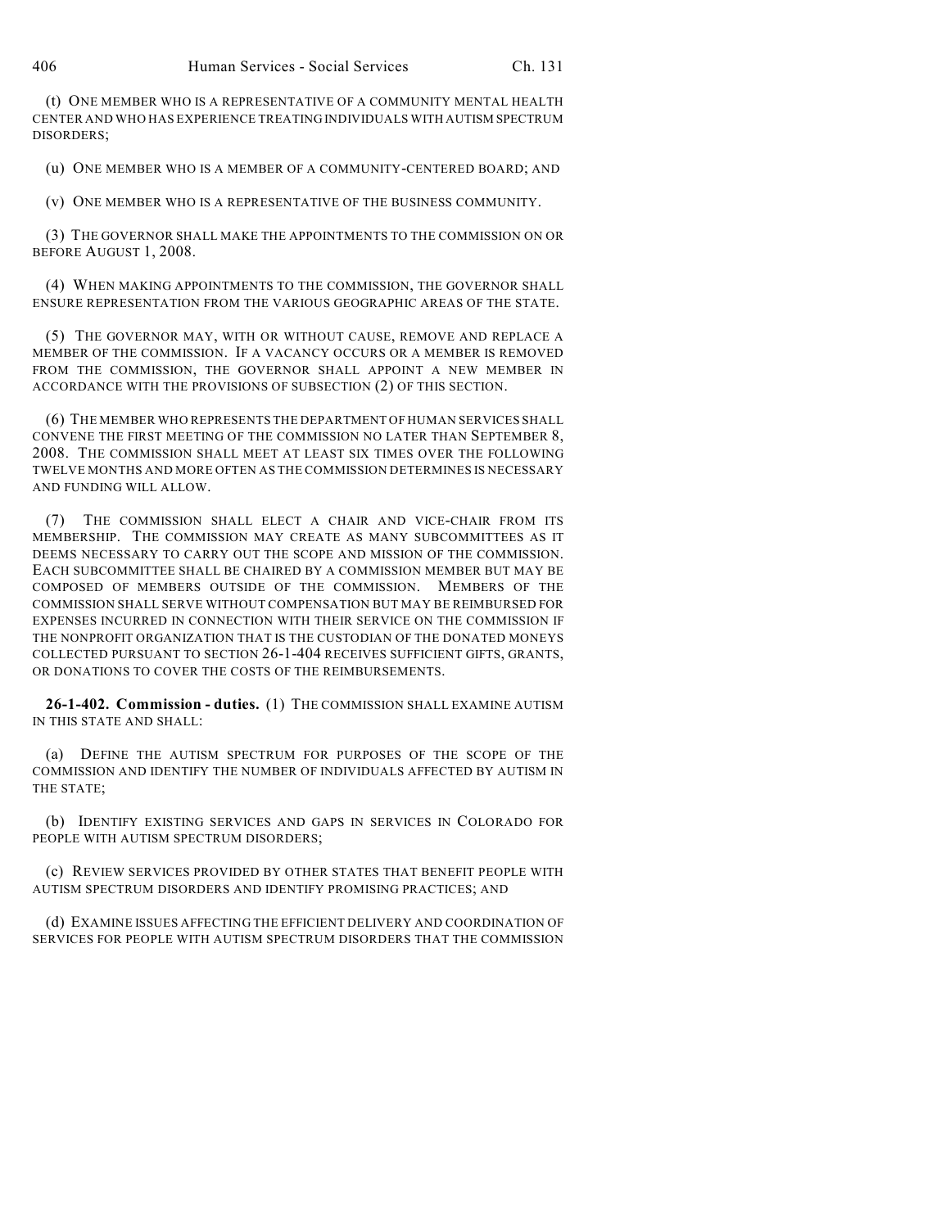(t) ONE MEMBER WHO IS A REPRESENTATIVE OF A COMMUNITY MENTAL HEALTH CENTER AND WHO HAS EXPERIENCE TREATING INDIVIDUALS WITH AUTISM SPECTRUM DISORDERS;

(u) ONE MEMBER WHO IS A MEMBER OF A COMMUNITY-CENTERED BOARD; AND

(v) ONE MEMBER WHO IS A REPRESENTATIVE OF THE BUSINESS COMMUNITY.

(3) THE GOVERNOR SHALL MAKE THE APPOINTMENTS TO THE COMMISSION ON OR BEFORE AUGUST 1, 2008.

(4) WHEN MAKING APPOINTMENTS TO THE COMMISSION, THE GOVERNOR SHALL ENSURE REPRESENTATION FROM THE VARIOUS GEOGRAPHIC AREAS OF THE STATE.

(5) THE GOVERNOR MAY, WITH OR WITHOUT CAUSE, REMOVE AND REPLACE A MEMBER OF THE COMMISSION. IF A VACANCY OCCURS OR A MEMBER IS REMOVED FROM THE COMMISSION, THE GOVERNOR SHALL APPOINT A NEW MEMBER IN ACCORDANCE WITH THE PROVISIONS OF SUBSECTION (2) OF THIS SECTION.

(6) THE MEMBER WHO REPRESENTS THE DEPARTMENT OF HUMAN SERVICES SHALL CONVENE THE FIRST MEETING OF THE COMMISSION NO LATER THAN SEPTEMBER 8, 2008. THE COMMISSION SHALL MEET AT LEAST SIX TIMES OVER THE FOLLOWING TWELVE MONTHS AND MORE OFTEN AS THE COMMISSION DETERMINES IS NECESSARY AND FUNDING WILL ALLOW.

(7) THE COMMISSION SHALL ELECT A CHAIR AND VICE-CHAIR FROM ITS MEMBERSHIP. THE COMMISSION MAY CREATE AS MANY SUBCOMMITTEES AS IT DEEMS NECESSARY TO CARRY OUT THE SCOPE AND MISSION OF THE COMMISSION. EACH SUBCOMMITTEE SHALL BE CHAIRED BY A COMMISSION MEMBER BUT MAY BE COMPOSED OF MEMBERS OUTSIDE OF THE COMMISSION. MEMBERS OF THE COMMISSION SHALL SERVE WITHOUT COMPENSATION BUT MAY BE REIMBURSED FOR EXPENSES INCURRED IN CONNECTION WITH THEIR SERVICE ON THE COMMISSION IF THE NONPROFIT ORGANIZATION THAT IS THE CUSTODIAN OF THE DONATED MONEYS COLLECTED PURSUANT TO SECTION 26-1-404 RECEIVES SUFFICIENT GIFTS, GRANTS, OR DONATIONS TO COVER THE COSTS OF THE REIMBURSEMENTS.

**26-1-402. Commission - duties.** (1) THE COMMISSION SHALL EXAMINE AUTISM IN THIS STATE AND SHALL:

(a) DEFINE THE AUTISM SPECTRUM FOR PURPOSES OF THE SCOPE OF THE COMMISSION AND IDENTIFY THE NUMBER OF INDIVIDUALS AFFECTED BY AUTISM IN THE STATE;

(b) IDENTIFY EXISTING SERVICES AND GAPS IN SERVICES IN COLORADO FOR PEOPLE WITH AUTISM SPECTRUM DISORDERS;

(c) REVIEW SERVICES PROVIDED BY OTHER STATES THAT BENEFIT PEOPLE WITH AUTISM SPECTRUM DISORDERS AND IDENTIFY PROMISING PRACTICES; AND

(d) EXAMINE ISSUES AFFECTING THE EFFICIENT DELIVERY AND COORDINATION OF SERVICES FOR PEOPLE WITH AUTISM SPECTRUM DISORDERS THAT THE COMMISSION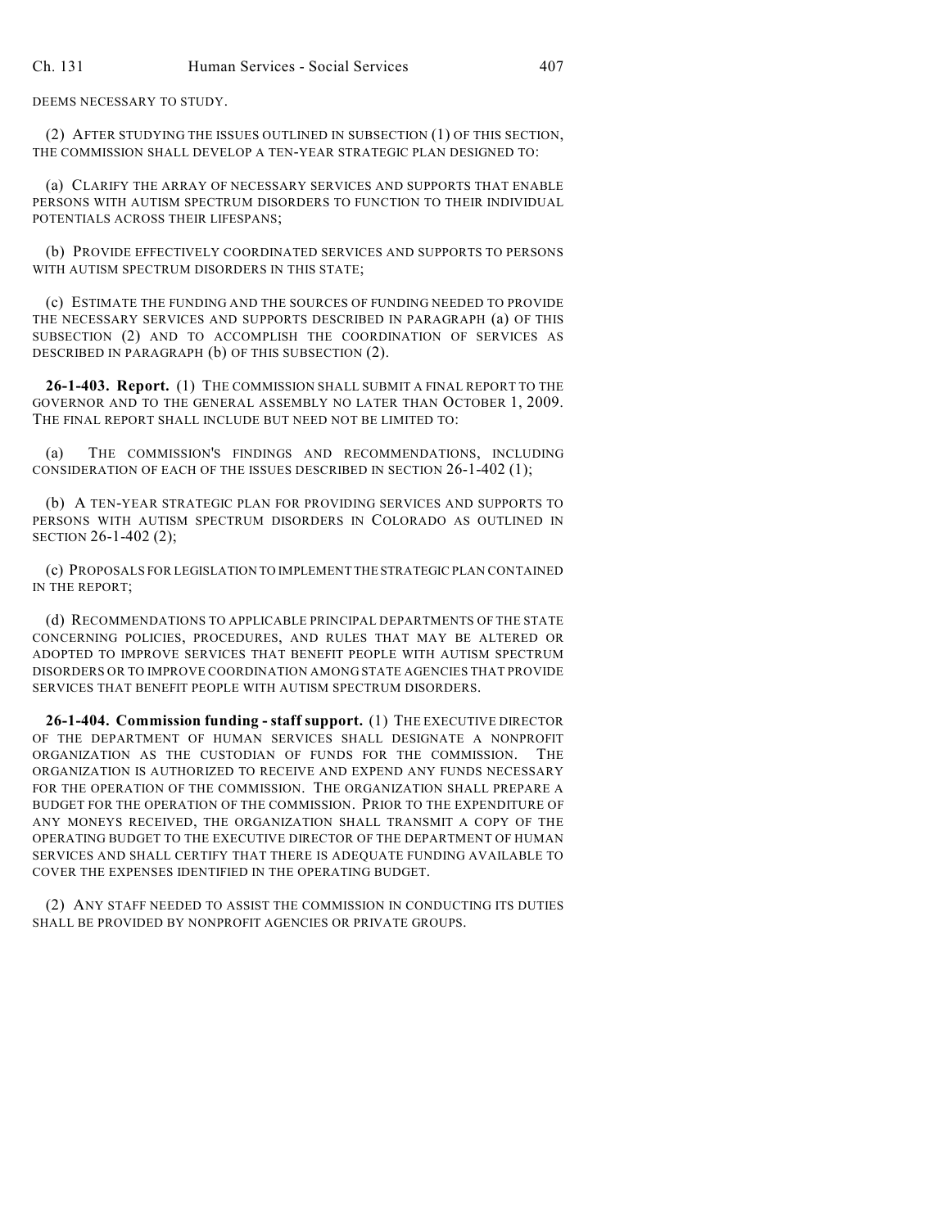DEEMS NECESSARY TO STUDY.

(2) AFTER STUDYING THE ISSUES OUTLINED IN SUBSECTION (1) OF THIS SECTION, THE COMMISSION SHALL DEVELOP A TEN-YEAR STRATEGIC PLAN DESIGNED TO:

(a) CLARIFY THE ARRAY OF NECESSARY SERVICES AND SUPPORTS THAT ENABLE PERSONS WITH AUTISM SPECTRUM DISORDERS TO FUNCTION TO THEIR INDIVIDUAL POTENTIALS ACROSS THEIR LIFESPANS;

(b) PROVIDE EFFECTIVELY COORDINATED SERVICES AND SUPPORTS TO PERSONS WITH AUTISM SPECTRUM DISORDERS IN THIS STATE:

(c) ESTIMATE THE FUNDING AND THE SOURCES OF FUNDING NEEDED TO PROVIDE THE NECESSARY SERVICES AND SUPPORTS DESCRIBED IN PARAGRAPH (a) OF THIS SUBSECTION (2) AND TO ACCOMPLISH THE COORDINATION OF SERVICES AS DESCRIBED IN PARAGRAPH (b) OF THIS SUBSECTION (2).

**26-1-403. Report.** (1) THE COMMISSION SHALL SUBMIT A FINAL REPORT TO THE GOVERNOR AND TO THE GENERAL ASSEMBLY NO LATER THAN OCTOBER 1, 2009. THE FINAL REPORT SHALL INCLUDE BUT NEED NOT BE LIMITED TO:

(a) THE COMMISSION'S FINDINGS AND RECOMMENDATIONS, INCLUDING CONSIDERATION OF EACH OF THE ISSUES DESCRIBED IN SECTION 26-1-402 (1);

(b) A TEN-YEAR STRATEGIC PLAN FOR PROVIDING SERVICES AND SUPPORTS TO PERSONS WITH AUTISM SPECTRUM DISORDERS IN COLORADO AS OUTLINED IN SECTION 26-1-402 (2);

(c) PROPOSALS FOR LEGISLATION TO IMPLEMENT THE STRATEGIC PLAN CONTAINED IN THE REPORT;

(d) RECOMMENDATIONS TO APPLICABLE PRINCIPAL DEPARTMENTS OF THE STATE CONCERNING POLICIES, PROCEDURES, AND RULES THAT MAY BE ALTERED OR ADOPTED TO IMPROVE SERVICES THAT BENEFIT PEOPLE WITH AUTISM SPECTRUM DISORDERS OR TO IMPROVE COORDINATION AMONG STATE AGENCIES THAT PROVIDE SERVICES THAT BENEFIT PEOPLE WITH AUTISM SPECTRUM DISORDERS.

**26-1-404. Commission funding - staff support.** (1) THE EXECUTIVE DIRECTOR OF THE DEPARTMENT OF HUMAN SERVICES SHALL DESIGNATE A NONPROFIT ORGANIZATION AS THE CUSTODIAN OF FUNDS FOR THE COMMISSION. THE ORGANIZATION IS AUTHORIZED TO RECEIVE AND EXPEND ANY FUNDS NECESSARY FOR THE OPERATION OF THE COMMISSION. THE ORGANIZATION SHALL PREPARE A BUDGET FOR THE OPERATION OF THE COMMISSION. PRIOR TO THE EXPENDITURE OF ANY MONEYS RECEIVED, THE ORGANIZATION SHALL TRANSMIT A COPY OF THE OPERATING BUDGET TO THE EXECUTIVE DIRECTOR OF THE DEPARTMENT OF HUMAN SERVICES AND SHALL CERTIFY THAT THERE IS ADEQUATE FUNDING AVAILABLE TO COVER THE EXPENSES IDENTIFIED IN THE OPERATING BUDGET.

(2) ANY STAFF NEEDED TO ASSIST THE COMMISSION IN CONDUCTING ITS DUTIES SHALL BE PROVIDED BY NONPROFIT AGENCIES OR PRIVATE GROUPS.